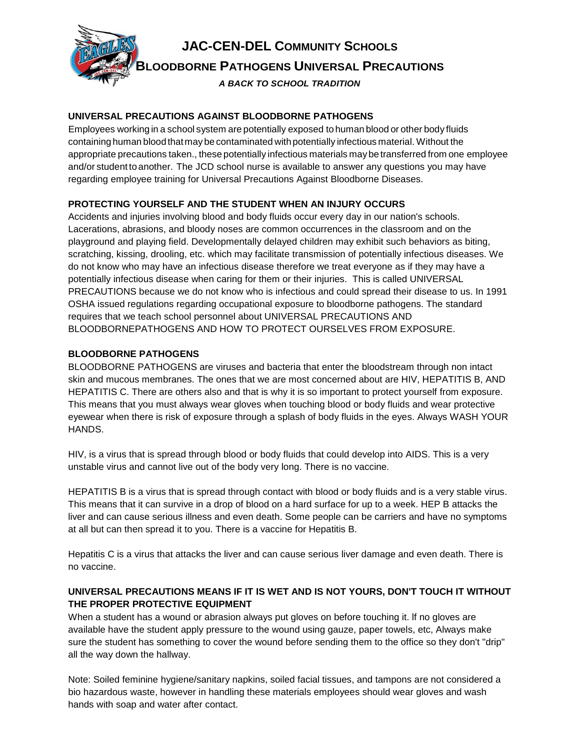

# **UNIVERSAL PRECAUTIONS AGAINST BLOODBORNE PATHOGENS**

Employees working in a school system are potentially exposed to human blood or other body fluids containing human bloodthatmay be contaminated withpotentially infectious material. Without the appropriate precautions taken., these potentially infectious materials may be transferred from one employee and/or student to another. The JCD school nurse is available to answer any questions you may have regarding employee training for Universal Precautions Against Bloodborne Diseases.

# **PROTECTING YOURSELF AND THE STUDENT WHEN AN INJURY OCCURS**

Accidents and injuries involving blood and body fluids occur every day in our nation's schools. Lacerations, abrasions, and bloody noses are common occurrences in the classroom and on the playground and playing field. Developmentally delayed children may exhibit such behaviors as biting, scratching, kissing, drooling, etc. which may facilitate transmission of potentially infectious diseases. We do not know who may have an infectious disease therefore we treat everyone as if they may have a potentially infectious disease when caring for them or their injuries. This is called UNIVERSAL PRECAUTIONS because we do not know who is infectious and could spread their disease to us. In 1991 OSHA issued regulations regarding occupational exposure to bloodborne pathogens. The standard requires that we teach school personnel about UNIVERSAL PRECAUTIONS AND BLOODBORNEPATHOGENS AND HOW TO PROTECT OURSELVES FROM EXPOSURE.

# **BLOODBORNE PATHOGENS**

BLOODBORNE PATHOGENS are viruses and bacteria that enter the bloodstream through non intact skin and mucous membranes. The ones that we are most concerned about are HIV, HEPATITIS B, AND HEPATITIS C. There are others also and that is why it is so important to protect yourself from exposure. This means that you must always wear gloves when touching blood or body fluids and wear protective eyewear when there is risk of exposure through a splash of body fluids in the eyes. Always WASH YOUR HANDS.

HIV, is a virus that is spread through blood or body fluids that could develop into AIDS. This is a very unstable virus and cannot live out of the body very long. There is no vaccine.

HEPATITIS B is a virus that is spread through contact with blood or body fluids and is a very stable virus. This means that it can survive in a drop of blood on a hard surface for up to a week. HEP B attacks the liver and can cause serious illness and even death. Some people can be carriers and have no symptoms at all but can then spread it to you. There is a vaccine for Hepatitis B.

Hepatitis C is a virus that attacks the liver and can cause serious liver damage and even death. There is no vaccine.

# **UNIVERSAL PRECAUTIONS MEANS IF IT IS WET AND IS NOT YOURS, DON'T TOUCH IT WITHOUT THE PROPER PROTECTIVE EQUIPMENT**

When a student has a wound or abrasion always put gloves on before touching it. lf no gloves are available have the student apply pressure to the wound using gauze, paper towels, etc, Always make sure the student has something to cover the wound before sending them to the office so they don't "drip" all the way down the hallway.

Note: Soiled feminine hygiene/sanitary napkins, soiled facial tissues, and tampons are not considered a bio hazardous waste, however in handling these materials employees should wear gloves and wash hands with soap and water after contact.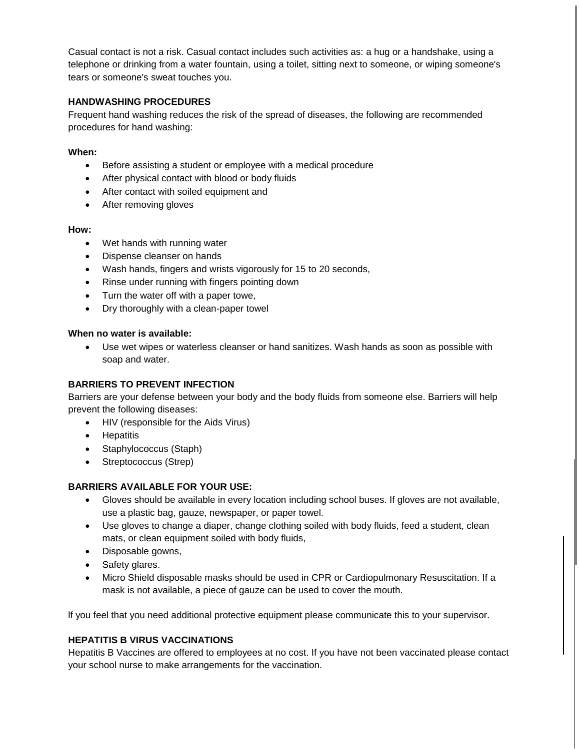Casual contact is not a risk. Casual contact includes such activities as: a hug or a handshake, using a telephone or drinking from a water fountain, using a toilet, sitting next to someone, or wiping someone's tears or someone's sweat touches you.

## **HANDWASHING PROCEDURES**

Frequent hand washing reduces the risk of the spread of diseases, the following are recommended procedures for hand washing:

#### **When:**

- Before assisting a student or employee with a medical procedure
- After physical contact with blood or body fluids
- After contact with soiled equipment and
- After removing gloves

#### **How:**

- Wet hands with running water
- Dispense cleanser on hands
- Wash hands, fingers and wrists vigorously for 15 to 20 seconds,
- Rinse under running with fingers pointing down
- Turn the water off with a paper towe,
- Dry thoroughly with a clean-paper towel

#### **When no water is available:**

 Use wet wipes or waterless cleanser or hand sanitizes. Wash hands as soon as possible with soap and water.

#### **BARRIERS TO PREVENT INFECTION**

Barriers are your defense between your body and the body fluids from someone else. Barriers will help prevent the following diseases:

- HIV (responsible for the Aids Virus)
- Hepatitis
- Staphylococcus (Staph)
- Streptococcus (Strep)

#### **BARRIERS AVAILABLE FOR YOUR USE:**

- Gloves should be available in every location including school buses. If gloves are not available, use a plastic bag, gauze, newspaper, or paper towel.
- Use gloves to change a diaper, change clothing soiled with body fluids, feed a student, clean mats, or clean equipment soiled with body fluids,
- Disposable gowns,
- Safety glares.
- Micro Shield disposable masks should be used in CPR or Cardiopulmonary Resuscitation. If a mask is not available, a piece of gauze can be used to cover the mouth.

lf you feel that you need additional protective equipment please communicate this to your supervisor.

### **HEPATITIS B VIRUS VACCINATIONS**

Hepatitis B Vaccines are offered to employees at no cost. If you have not been vaccinated please contact your school nurse to make arrangements for the vaccination.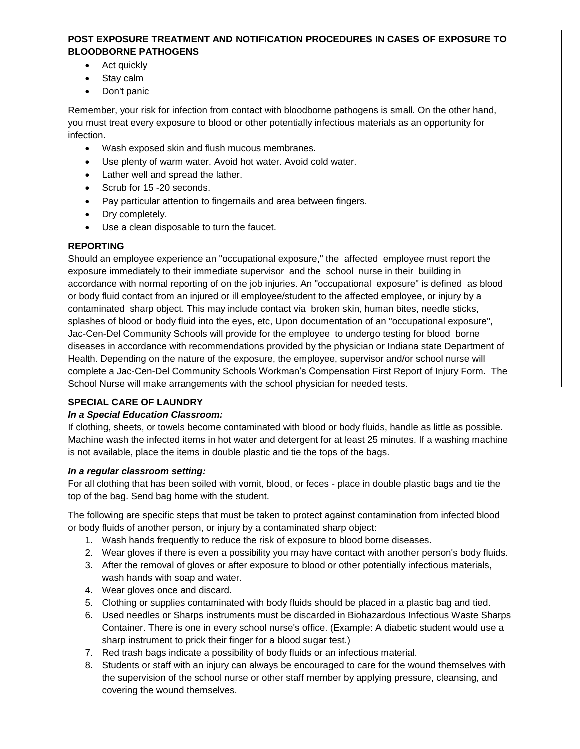## **POST EXPOSURE TREATMENT AND NOTIFICATION PROCEDURES IN CASES OF EXPOSURE TO BLOODBORNE PATHOGENS**

- Act quickly
- Stay calm
- Don't panic

Remember, your risk for infection from contact with bloodborne pathogens is small. On the other hand, you must treat every exposure to blood or other potentially infectious materials as an opportunity for infection.

- Wash exposed skin and flush mucous membranes.
- Use plenty of warm water. Avoid hot water. Avoid cold water.
- Lather well and spread the lather.
- Scrub for 15 -20 seconds.
- Pay particular attention to fingernails and area between fingers.
- Dry completely.
- Use a clean disposable to turn the faucet.

# **REPORTING**

Should an employee experience an "occupational exposure," the affected employee must report the exposure immediately to their immediate supervisor and the school nurse in their building in accordance with normal reporting of on the job injuries. An "occupational exposure" is defined as blood or body fluid contact from an injured or ill employee/student to the affected employee, or injury by a contaminated sharp object. This may include contact via broken skin, human bites, needle sticks, splashes of blood or body fluid into the eyes, etc, Upon documentation of an "occupational exposure", Jac-Cen-Del Community Schools will provide for the employee to undergo testing for blood borne diseases in accordance with recommendations provided by the physician or Indiana state Department of Health. Depending on the nature of the exposure, the employee, supervisor and/or school nurse will complete a Jac-Cen-Del Community Schools Workman's Compensation First Report of Injury Form. The School Nurse will make arrangements with the school physician for needed tests.

# **SPECIAL CARE OF LAUNDRY**

## *In a Special Education Classroom:*

If clothing, sheets, or towels become contaminated with blood or body fluids, handle as little as possible. Machine wash the infected items in hot water and detergent for at least 25 minutes. If a washing machine is not available, place the items in double plastic and tie the tops of the bags.

## *In a regular classroom setting:*

For all clothing that has been soiled with vomit, blood, or feces - place in double plastic bags and tie the top of the bag. Send bag home with the student.

The following are specific steps that must be taken to protect against contamination from infected blood or body fluids of another person, or injury by a contaminated sharp object:

- 1. Wash hands frequently to reduce the risk of exposure to blood borne diseases.
- 2. Wear gloves if there is even a possibility you may have contact with another person's body fluids.
- 3. After the removal of gloves or after exposure to blood or other potentially infectious materials, wash hands with soap and water.
- 4. Wear gloves once and discard.
- 5. Clothing or supplies contaminated with body fluids should be placed in a plastic bag and tied.
- 6. Used needles or Sharps instruments must be discarded in Biohazardous Infectious Waste Sharps Container. There is one in every school nurse's office. (Example: A diabetic student would use a sharp instrument to prick their finger for a blood sugar test.)
- 7. Red trash bags indicate a possibility of body fluids or an infectious material.
- 8. Students or staff with an injury can always be encouraged to care for the wound themselves with the supervision of the school nurse or other staff member by applying pressure, cleansing, and covering the wound themselves.